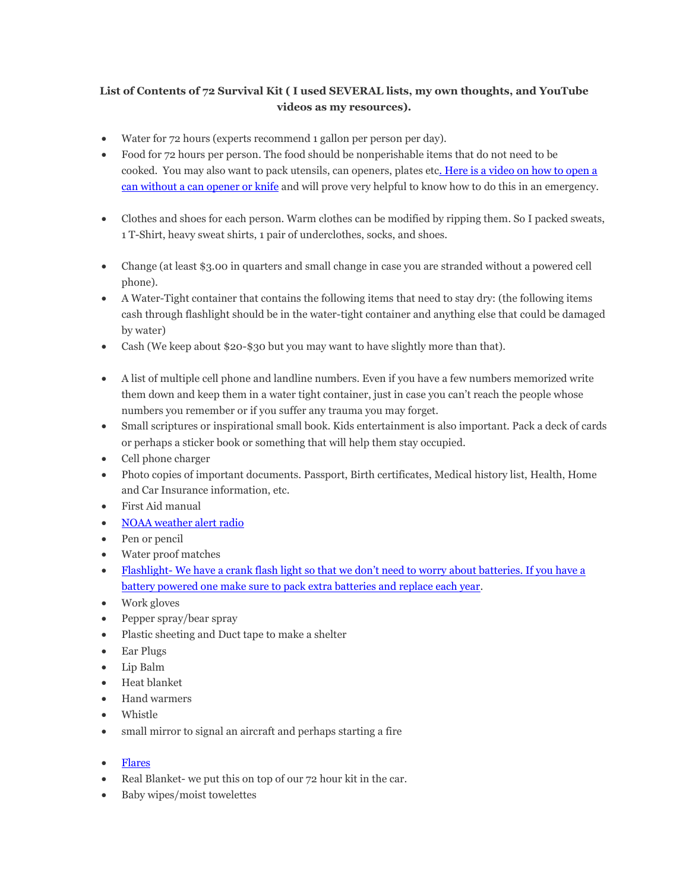# **List of Contents of 72 Survival Kit ( I used SEVERAL lists, my own thoughts, and YouTube videos as my resources).**

- Water for 72 hours (experts recommend 1 gallon per person per day).
- Food for 72 hours per person. The food should be nonperishable items that do not need to be cooked. You may also want to pack utensils, can openers, plates et[c. Here is a video on how to open a](http://www.youtube.com/watch?v=oH2NahLjx-Y)  [can without a can opener or knife](http://www.youtube.com/watch?v=oH2NahLjx-Y) and will prove very helpful to know how to do this in an emergency.
- Clothes and shoes for each person. Warm clothes can be modified by ripping them. So I packed sweats, 1 T-Shirt, heavy sweat shirts, 1 pair of underclothes, socks, and shoes.
- Change (at least \$3.00 in quarters and small change in case you are stranded without a powered cell phone).
- A Water-Tight container that contains the following items that need to stay dry: (the following items cash through flashlight should be in the water-tight container and anything else that could be damaged by water)
- Cash (We keep about \$20-\$30 but you may want to have slightly more than that).
- A list of multiple cell phone and landline numbers. Even if you have a few numbers memorized write them down and keep them in a water tight container, just in case you can't reach the people whose numbers you remember or if you suffer any trauma you may forget.
- Small scriptures or inspirational small book. Kids entertainment is also important. Pack a deck of cards or perhaps a sticker book or something that will help them stay occupied.
- Cell phone charger
- Photo copies of important documents. Passport, Birth certificates, Medical history list, Health, Home and Car Insurance information, etc.
- First Aid manual
- [NOAA weather alert radio](http://www.amazon.com/gp/product/B0071BTJPI/ref=as_li_qf_sp_asin_il_tl?ie=UTF8&camp=1789&creative=9325&creativeASIN=B0071BTJPI&linkCode=as2&tag=liliyoarri-20)
- Pen or pencil
- Water proof matches
- Flashlight- [We have a crank flash light so that we don't need to worry](http://www.amazon.com/gp/product/B002MFK7BS/ref=as_li_qf_sp_asin_il_tl?ie=UTF8&camp=1789&creative=9325&creativeASIN=B002MFK7BS&linkCode=as2&tag=liliyoarri-20) about batteries. If you have a [battery powered one make sure to pack extra batteries and replace each year.](http://www.amazon.com/gp/product/B002MFK7BS/ref=as_li_qf_sp_asin_il_tl?ie=UTF8&camp=1789&creative=9325&creativeASIN=B002MFK7BS&linkCode=as2&tag=liliyoarri-20)
- Work gloves
- Pepper spray/bear spray
- Plastic sheeting and Duct tape to make a shelter
- Ear Plugs
- Lip Balm
- Heat blanket
- Hand warmers
- Whistle
- small mirror to signal an aircraft and perhaps starting a fire
- [Flares](http://www.amazon.com/gp/product/B0074ZA0DQ/ref=as_li_qf_sp_asin_il_tl?ie=UTF8&camp=1789&creative=9325&creativeASIN=B0074ZA0DQ&linkCode=as2&tag=liliyoarri-20)
- Real Blanket- we put this on top of our 72 hour kit in the car.
- Baby wipes/moist towelettes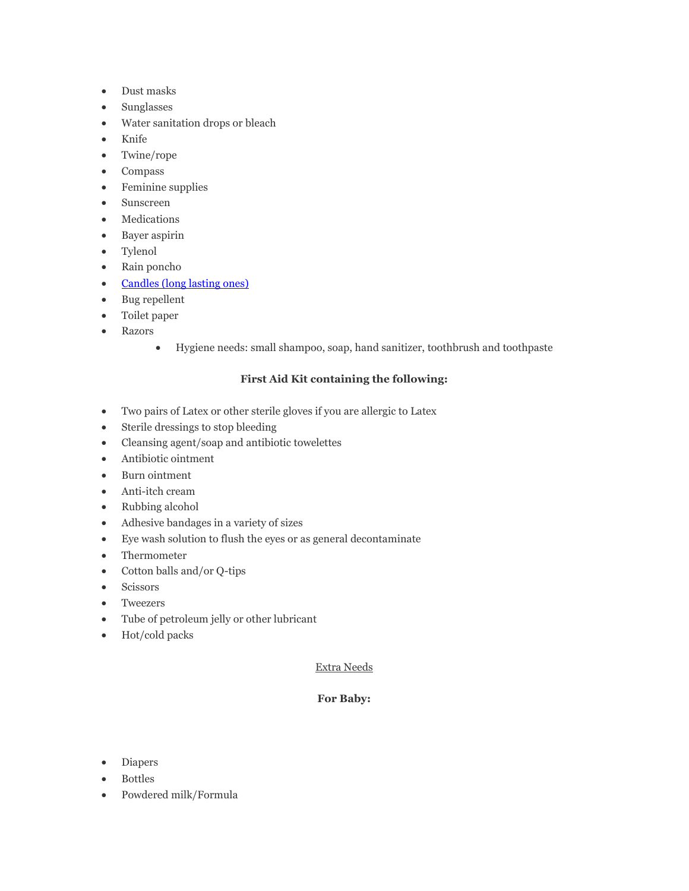- Dust masks
- Sunglasses
- Water sanitation drops or bleach
- Knife
- Twine/rope
- Compass
- Feminine supplies
- Sunscreen
- Medications
- Bayer aspirin
- Tylenol
- Rain poncho
- [Candles \(long lasting ones\)](http://www.amazon.com/gp/product/B0064POP6U/ref=as_li_qf_sp_asin_il_tl?ie=UTF8&camp=1789&creative=9325&creativeASIN=B0064POP6U&linkCode=as2&tag=liliyoarri-20)
- Bug repellent
- Toilet paper
- Razors
	- Hygiene needs: small shampoo, soap, hand sanitizer, toothbrush and toothpaste

# **First Aid Kit containing the following:**

- Two pairs of Latex or other sterile gloves if you are allergic to Latex
- Sterile dressings to stop bleeding
- Cleansing agent/soap and antibiotic towelettes
- Antibiotic ointment
- Burn ointment
- Anti-itch cream
- Rubbing alcohol
- Adhesive bandages in a variety of sizes
- Eye wash solution to flush the eyes or as general decontaminate
- Thermometer
- Cotton balls and/or Q-tips
- Scissors
- Tweezers
- Tube of petroleum jelly or other lubricant
- Hot/cold packs

### Extra Needs

# **For Baby:**

- Diapers
- Bottles
- Powdered milk/Formula